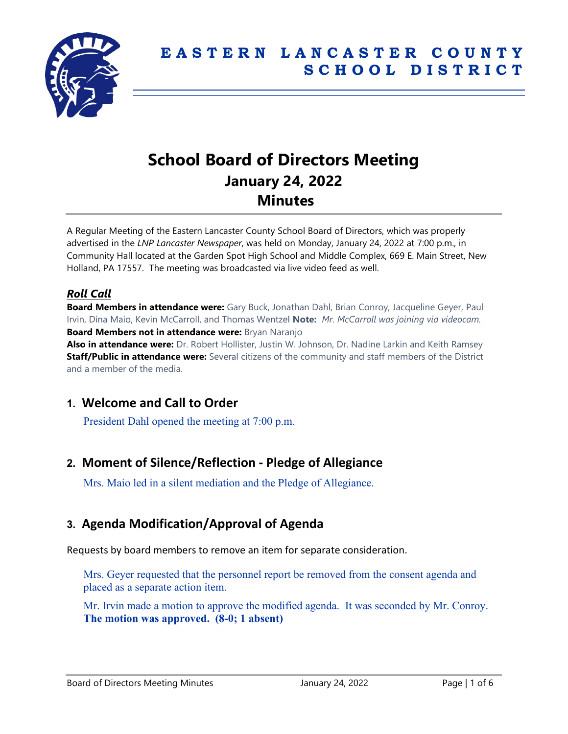

# **School Board of Directors Meeting January 24, 2022 Minutes**

A Regular Meeting of the Eastern Lancaster County School Board of Directors, which was properly advertised in the *LNP Lancaster Newspaper*, was held on Monday, January 24, 2022 at 7:00 p.m., in Community Hall located at the Garden Spot High School and Middle Complex, 669 E. Main Street, New Holland, PA 17557. The meeting was broadcasted via live video feed as well.

### *Roll Call*

**Board Members in attendance were:** Gary Buck, Jonathan Dahl, Brian Conroy, Jacqueline Geyer, Paul Irvin, Dina Maio, Kevin McCarroll, and Thomas Wentzel **Note:** *Mr. McCarroll was joining via videocam.* **Board Members not in attendance were:** Bryan Naranjo

**Also in attendance were:** Dr. Robert Hollister, Justin W. Johnson, Dr. Nadine Larkin and Keith Ramsey **Staff/Public in attendance were:** Several citizens of the community and staff members of the District and a member of the media.

### **1. Welcome and Call to Order**

President Dahl opened the meeting at 7:00 p.m.

# **2. Moment of Silence/Reflection - Pledge of Allegiance**

Mrs. Maio led in a silent mediation and the Pledge of Allegiance.

# **3. Agenda Modification/Approval of Agenda**

Requests by board members to remove an item for separate consideration.

Mrs. Geyer requested that the personnel report be removed from the consent agenda and placed as a separate action item.

Mr. Irvin made a motion to approve the modified agenda. It was seconded by Mr. Conroy. **The motion was approved. (8-0; 1 absent)**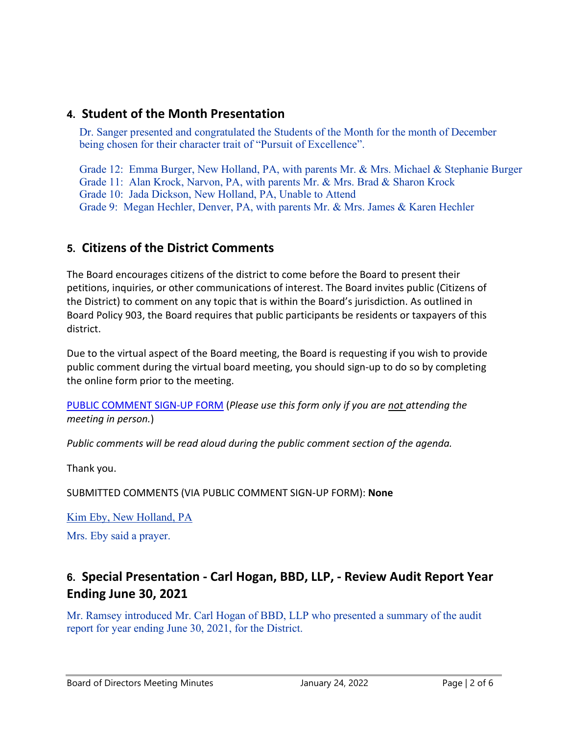## **4. Student of the Month Presentation**

Dr. Sanger presented and congratulated the Students of the Month for the month of December being chosen for their character trait of "Pursuit of Excellence".

Grade 12: Emma Burger, New Holland, PA, with parents Mr. & Mrs. Michael & Stephanie Burger Grade 11: Alan Krock, Narvon, PA, with parents Mr. & Mrs. Brad & Sharon Krock Grade 10: Jada Dickson, New Holland, PA, Unable to Attend Grade 9: Megan Hechler, Denver, PA, with parents Mr. & Mrs. James & Karen Hechler

# **5. Citizens of the District Comments**

The Board encourages citizens of the district to come before the Board to present their petitions, inquiries, or other communications of interest. The Board invites public (Citizens of the District) to comment on any topic that is within the Board's jurisdiction. As outlined in Board Policy 903, the Board requires that public participants be residents or taxpayers of this district.

Due to the virtual aspect of the Board meeting, the Board is requesting if you wish to provide public comment during the virtual board meeting, you should sign-up to do so by completing the online form prior to the meeting.

[PUBLIC COMMENT SIGN-UP FORM](https://forms.gle/zDXXoX8rZQUxt1Ap6) (*Please use this form only if you are not attending the meeting in person.*)

*Public comments will be read aloud during the public comment section of the agenda.*

Thank you.

SUBMITTED COMMENTS (VIA PUBLIC COMMENT SIGN-UP FORM): **None**

Kim Eby, New Holland, PA Mrs. Eby said a prayer.

# **6. Special Presentation - Carl Hogan, BBD, LLP, - Review Audit Report Year Ending June 30, 2021**

Mr. Ramsey introduced Mr. Carl Hogan of BBD, LLP who presented a summary of the audit report for year ending June 30, 2021, for the District.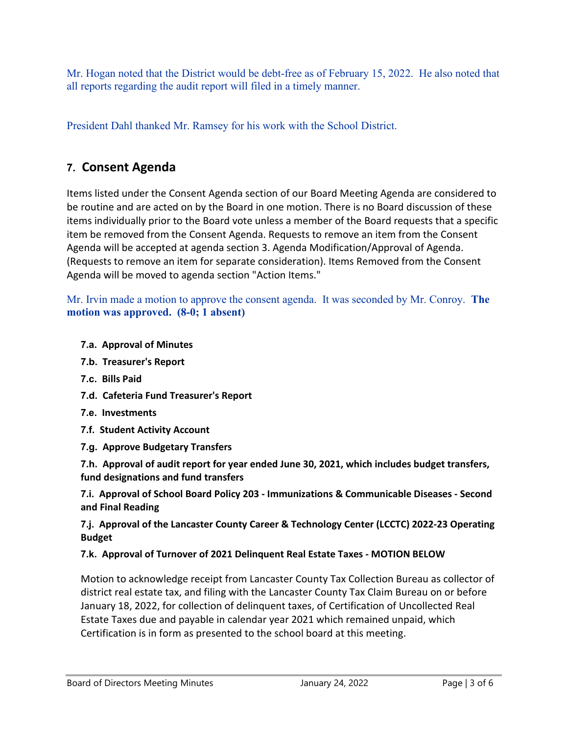Mr. Hogan noted that the District would be debt-free as of February 15, 2022. He also noted that all reports regarding the audit report will filed in a timely manner.

President Dahl thanked Mr. Ramsey for his work with the School District.

# **7. Consent Agenda**

Items listed under the Consent Agenda section of our Board Meeting Agenda are considered to be routine and are acted on by the Board in one motion. There is no Board discussion of these items individually prior to the Board vote unless a member of the Board requests that a specific item be removed from the Consent Agenda. Requests to remove an item from the Consent Agenda will be accepted at agenda section 3. Agenda Modification/Approval of Agenda. (Requests to remove an item for separate consideration). Items Removed from the Consent Agenda will be moved to agenda section "Action Items."

Mr. Irvin made a motion to approve the consent agenda. It was seconded by Mr. Conroy. **The motion was approved. (8-0; 1 absent)**

- **7.a. Approval of Minutes**
- **7.b. Treasurer's Report**
- **7.c. Bills Paid**
- **7.d. Cafeteria Fund Treasurer's Report**
- **7.e. Investments**
- **7.f. Student Activity Account**
- **7.g. Approve Budgetary Transfers**

**7.h. Approval of audit report for year ended June 30, 2021, which includes budget transfers, fund designations and fund transfers**

**7.i. Approval of School Board Policy 203 - Immunizations & Communicable Diseases - Second and Final Reading**

**7.j. Approval of the Lancaster County Career & Technology Center (LCCTC) 2022-23 Operating Budget**

#### **7.k. Approval of Turnover of 2021 Delinquent Real Estate Taxes - MOTION BELOW**

Motion to acknowledge receipt from Lancaster County Tax Collection Bureau as collector of district real estate tax, and filing with the Lancaster County Tax Claim Bureau on or before January 18, 2022, for collection of delinquent taxes, of Certification of Uncollected Real Estate Taxes due and payable in calendar year 2021 which remained unpaid, which Certification is in form as presented to the school board at this meeting.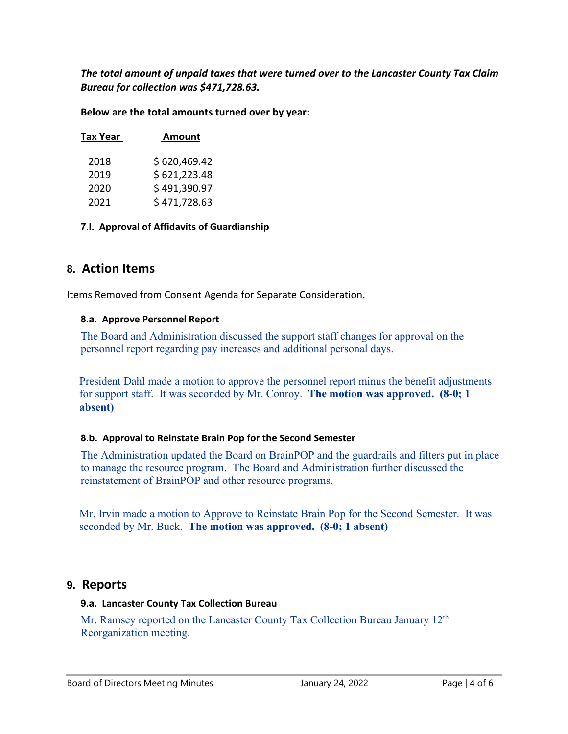*The total amount of unpaid taxes that were turned over to the Lancaster County Tax Claim Bureau for collection was \$471,728.63.*

**Below are the total amounts turned over by year:**

| Tax Year | <b>Amount</b> |
|----------|---------------|
| 2018     | \$620,469.42  |
| 2019     | \$621,223.48  |
| 2020     | \$491,390.97  |
| 2021     | \$471,728.63  |

**7.l. Approval of Affidavits of Guardianship**

### **8. Action Items**

Items Removed from Consent Agenda for Separate Consideration.

#### **8.a. Approve Personnel Report**

The Board and Administration discussed the support staff changes for approval on the personnel report regarding pay increases and additional personal days.

President Dahl made a motion to approve the personnel report minus the benefit adjustments for support staff. It was seconded by Mr. Conroy. **The motion was approved. (8-0; 1 absent)**

#### **8.b. Approval to Reinstate Brain Pop for the Second Semester**

The Administration updated the Board on BrainPOP and the guardrails and filters put in place to manage the resource program. The Board and Administration further discussed the reinstatement of BrainPOP and other resource programs.

Mr. Irvin made a motion to Approve to Reinstate Brain Pop for the Second Semester. It was seconded by Mr. Buck. **The motion was approved. (8-0; 1 absent)**

### **9. Reports**

#### **9.a. Lancaster County Tax Collection Bureau**

Mr. Ramsey reported on the Lancaster County Tax Collection Bureau January 12<sup>th</sup> Reorganization meeting.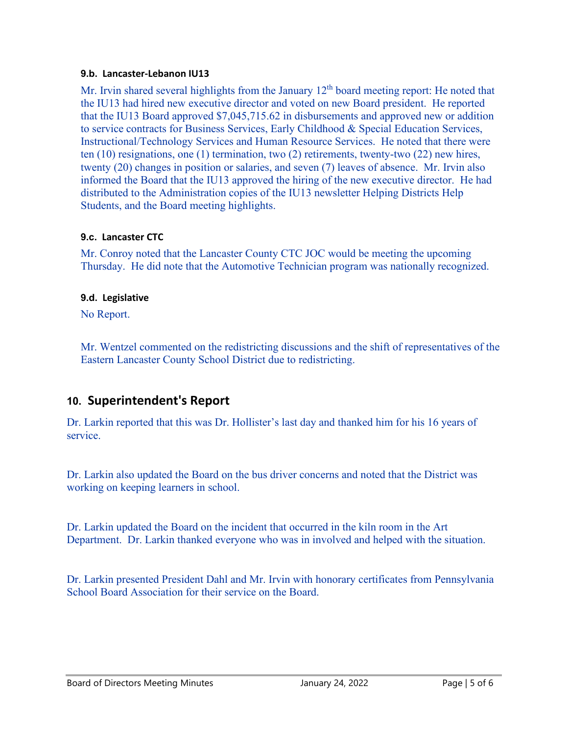#### **9.b. Lancaster-Lebanon IU13**

Mr. Irvin shared several highlights from the January  $12<sup>th</sup>$  board meeting report: He noted that the IU13 had hired new executive director and voted on new Board president. He reported that the IU13 Board approved \$7,045,715.62 in disbursements and approved new or addition to service contracts for Business Services, Early Childhood & Special Education Services, Instructional/Technology Services and Human Resource Services. He noted that there were ten (10) resignations, one (1) termination, two (2) retirements, twenty-two (22) new hires, twenty (20) changes in position or salaries, and seven (7) leaves of absence. Mr. Irvin also informed the Board that the IU13 approved the hiring of the new executive director. He had distributed to the Administration copies of the IU13 newsletter Helping Districts Help Students, and the Board meeting highlights.

#### **9.c. Lancaster CTC**

Mr. Conroy noted that the Lancaster County CTC JOC would be meeting the upcoming Thursday. He did note that the Automotive Technician program was nationally recognized.

#### **9.d. Legislative**

No Report.

Mr. Wentzel commented on the redistricting discussions and the shift of representatives of the Eastern Lancaster County School District due to redistricting.

### **10. Superintendent's Report**

Dr. Larkin reported that this was Dr. Hollister's last day and thanked him for his 16 years of service.

Dr. Larkin also updated the Board on the bus driver concerns and noted that the District was working on keeping learners in school.

Dr. Larkin updated the Board on the incident that occurred in the kiln room in the Art Department. Dr. Larkin thanked everyone who was in involved and helped with the situation.

Dr. Larkin presented President Dahl and Mr. Irvin with honorary certificates from Pennsylvania School Board Association for their service on the Board.